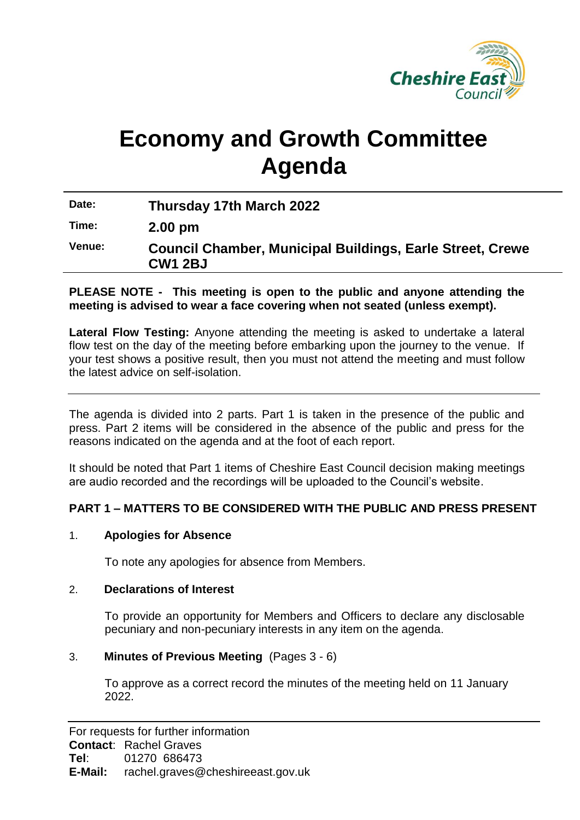

# **Economy and Growth Committee Agenda**

**Date: Thursday 17th March 2022**

**Time: 2.00 pm**

**Venue: Council Chamber, Municipal Buildings, Earle Street, Crewe CW1 2BJ**

**PLEASE NOTE - This meeting is open to the public and anyone attending the meeting is advised to wear a face covering when not seated (unless exempt).**

**Lateral Flow Testing:** Anyone attending the meeting is asked to undertake a lateral flow test on the day of the meeting before embarking upon the journey to the venue. If your test shows a positive result, then you must not attend the meeting and must follow the latest advice on self-isolation.

The agenda is divided into 2 parts. Part 1 is taken in the presence of the public and press. Part 2 items will be considered in the absence of the public and press for the reasons indicated on the agenda and at the foot of each report.

It should be noted that Part 1 items of Cheshire East Council decision making meetings are audio recorded and the recordings will be uploaded to the Council's website.

# **PART 1 – MATTERS TO BE CONSIDERED WITH THE PUBLIC AND PRESS PRESENT**

# 1. **Apologies for Absence**

To note any apologies for absence from Members.

#### 2. **Declarations of Interest**

To provide an opportunity for Members and Officers to declare any disclosable pecuniary and non-pecuniary interests in any item on the agenda.

#### 3. **Minutes of Previous Meeting** (Pages 3 - 6)

To approve as a correct record the minutes of the meeting held on 11 January 2022.